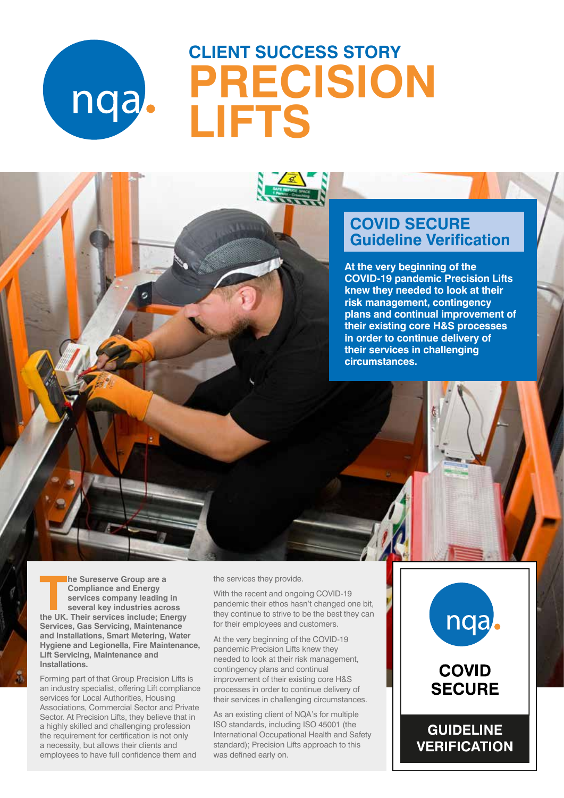

# **CLIENT SUCCESS STORY PRECISION LIFTS**

# **COVID SECURE Guideline Verification**

**At the very beginning of the COVID-19 pandemic Precision Lifts knew they needed to look at their risk management, contingency plans and continual improvement of their existing core H&S processes in order to continue delivery of their services in challenging circumstances.**

**The Sureserve Group are a**<br> **Compliance and Energy<br>
services company leading in<br>
several key industries across<br>
the UK. Their services include; Energy he Sureserve Group are a Compliance and Energy services company leading in several key industries across Services, Gas Servicing, Maintenance and Installations, Smart Metering, Water Hygiene and Legionella, Fire Maintenance, Lift Servicing, Maintenance and Installations.**

Forming part of that Group Precision Lifts is an industry specialist, offering Lift compliance services for Local Authorities, Housing Associations, Commercial Sector and Private Sector. At Precision Lifts, they believe that in a highly skilled and challenging profession the requirement for certification is not only a necessity, but allows their clients and employees to have full confidence them and

the services they provide.

With the recent and ongoing COVID-19 pandemic their ethos hasn't changed one bit, they continue to strive to be the best they can for their employees and customers.

At the very beginning of the COVID-19 pandemic Precision Lifts knew they needed to look at their risk management, contingency plans and continual improvement of their existing core H&S processes in order to continue delivery of their services in challenging circumstances.

As an existing client of NQA's for multiple ISO standards, including ISO 45001 (the International Occupational Health and Safety standard); Precision Lifts approach to this was defined early on.

# nqa.

# **COVID SECURE**

**GUIDELINE VERIFICATION** 

VERIFIED ON: 15 MAY 2020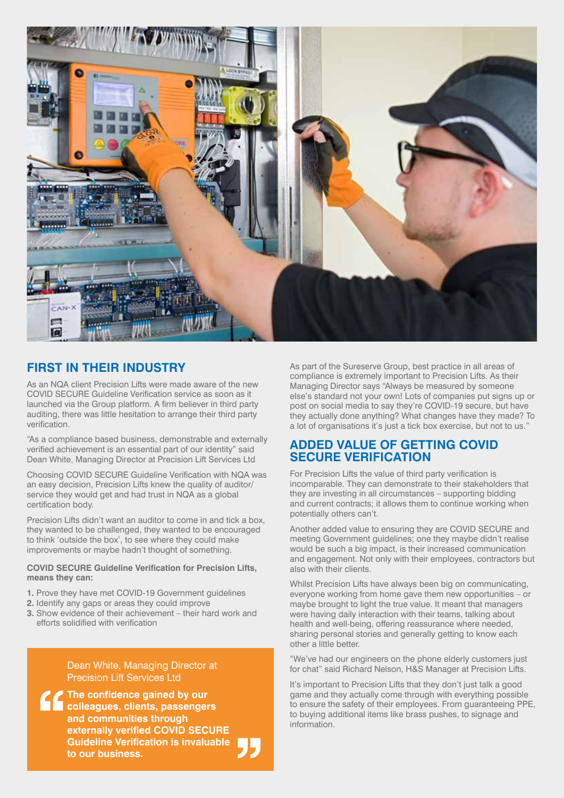

### **FIRST IN THEIR INDUSTRY**

As an NQA client Precision Lifts were made aware of the new COVID SECURE Guideline Verification service as soon as it launched via the Group platform. A firm believer in third party auditing, there was little hesitation to arrange their third party verification.

"As a compliance based business, demonstrable and externally verified achievement is an essential part of our identity" said Dean White, Managing Director at Precision Lift Services Ltd

Choosing COVID SECURE Guideline Verification with NQA was an easy decision, Precision Lifts knew the quality of auditor/ service they would get and had trust in NQA as a global certification body.

Precision Lifts didn't want an auditor to come in and tick a box, they wanted to be challenged, they wanted to be encouraged to think 'outside the box', to see where they could make improvements or maybe hadn't thought of something.

#### **COVID SECURE Guideline Verification for Precision Lifts, means they can:**

- **1.** Prove they have met COVID-19 Government guidelines
- **2.** Identify any gaps or areas they could improve
- **3.** Show evidence of their achievement their hard work and efforts solidified with verification

Dean White, Managing Director at Precision Lift Services Ltd

**The confidence gained by our colleagues, clients, passengers and communities through externally verified COVID SECURE Guideline Verification is invaluable to our business.**

As part of the Sureserve Group, best practice in all areas of compliance is extremely important to Precision Lifts. As their Managing Director says "Always be measured by someone else's standard not your own! Lots of companies put signs up or post on social media to say they're COVID-19 secure, but have they actually done anything? What changes have they made? To a lot of organisations it's just a tick box exercise, but not to us."

### **ADDED VALUE OF GETTING COVID SECURE VERIFICATION**

For Precision Lifts the value of third party verification is incomparable. They can demonstrate to their stakeholders that they are investing in all circumstances – supporting bidding and current contracts; it allows them to continue working when potentially others can't.

Another added value to ensuring they are COVID SECURE and meeting Government guidelines; one they maybe didn't realise would be such a big impact, is their increased communication and engagement. Not only with their employees, contractors but also with their clients.

Whilst Precision Lifts have always been big on communicating, everyone working from home gave them new opportunities – or maybe brought to light the true value. It meant that managers were having daily interaction with their teams, talking about health and well-being, offering reassurance where needed, sharing personal stories and generally getting to know each other a little better.

"We've had our engineers on the phone elderly customers just for chat" said Richard Nelson, H&S Manager at Precision Lifts.

It's important to Precision Lifts that they don't just talk a good game and they actually come through with everything possible to ensure the safety of their employees. From guaranteeing PPE, to buying additional items like brass pushes, to signage and information.